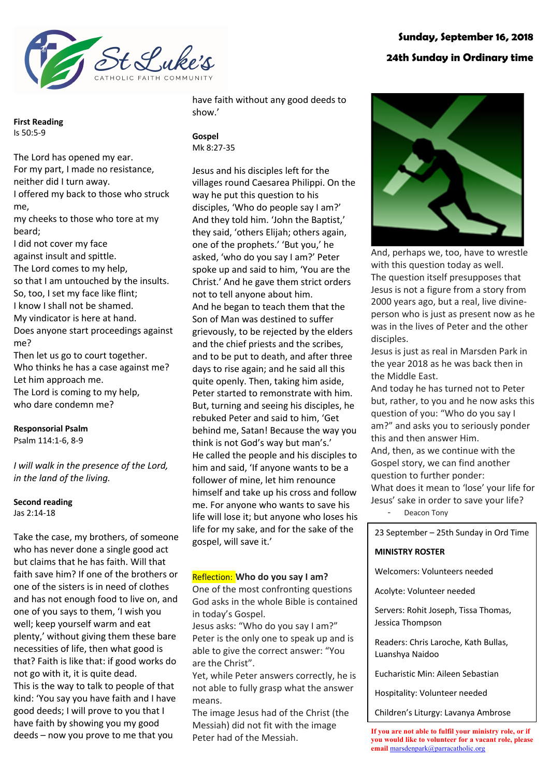

# **Sunday, September 16, 2018 24th Sunday in Ordinary time**

**First Reading** Is 50:5-9

The Lord has opened my ear. For my part, I made no resistance, neither did I turn away. I offered my back to those who struck me, my cheeks to those who tore at my beard; I did not cover my face against insult and spittle. The Lord comes to my help, so that I am untouched by the insults. So, too, I set my face like flint; I know I shall not be shamed. My vindicator is here at hand. Does anyone start proceedings against me? Then let us go to court together. Who thinks he has a case against me? Let him approach me. The Lord is coming to my help,

who dare condemn me?

## **Responsorial Psalm**

Psalm 114:1-6, 8-9

*I will walk in the presence of the Lord, in the land of the living.*

#### **Second reading** Jas 2:14-18

Take the case, my brothers, of someone who has never done a single good act but claims that he has faith. Will that faith save him? If one of the brothers or one of the sisters is in need of clothes and has not enough food to live on, and one of you says to them, 'I wish you well; keep yourself warm and eat plenty,' without giving them these bare necessities of life, then what good is that? Faith is like that: if good works do not go with it, it is quite dead. This is the way to talk to people of that kind: 'You say you have faith and I have good deeds; I will prove to you that I have faith by showing you my good deeds – now you prove to me that you

have faith without any good deeds to show.'

**Gospel** Mk 8:27-35

Jesus and his disciples left for the villages round Caesarea Philippi. On the way he put this question to his disciples, 'Who do people say I am?' And they told him. 'John the Baptist,' they said, 'others Elijah; others again, one of the prophets.' 'But you,' he asked, 'who do you say I am?' Peter spoke up and said to him, 'You are the Christ.' And he gave them strict orders not to tell anyone about him. And he began to teach them that the Son of Man was destined to suffer grievously, to be rejected by the elders and the chief priests and the scribes, and to be put to death, and after three days to rise again; and he said all this quite openly. Then, taking him aside, Peter started to remonstrate with him. But, turning and seeing his disciples, he rebuked Peter and said to him, 'Get behind me, Satan! Because the way you think is not God's way but man's.' He called the people and his disciples to him and said, 'If anyone wants to be a follower of mine, let him renounce himself and take up his cross and follow me. For anyone who wants to save his life will lose it; but anyone who loses his life for my sake, and for the sake of the gospel, will save it.'

## Reflection: **Who do you say I am?**

One of the most confronting questions God asks in the whole Bible is contained in today's Gospel.

Jesus asks: "Who do you say I am?" Peter is the only one to speak up and is able to give the correct answer: "You are the Christ".

Yet, while Peter answers correctly, he is not able to fully grasp what the answer means.

The image Jesus had of the Christ (the Messiah) did not fit with the image Peter had of the Messiah.



And, perhaps we, too, have to wrestle with this question today as well. The question itself presupposes that Jesus is not a figure from a story from 2000 years ago, but a real, live divineperson who is just as present now as he was in the lives of Peter and the other disciples.

Jesus is just as real in Marsden Park in the year 2018 as he was back then in the Middle East.

And today he has turned not to Peter but, rather, to you and he now asks this question of you: "Who do you say I am?" and asks you to seriously ponder this and then answer Him. And, then, as we continue with the Gospel story, we can find another question to further ponder: What does it mean to 'lose' your life for Jesus' sake in order to save your life?

Deacon Tony

23 September – 25th Sunday in Ord Time

#### **MINISTRY ROSTER**

Welcomers: Volunteers needed

Acolyte: Volunteer needed

Servers: Rohit Joseph, Tissa Thomas, Jessica Thompson

Readers: Chris Laroche, Kath Bullas, Luanshya Naidoo

Eucharistic Min: Aileen Sebastian

Hospitality: Volunteer needed

Children's Liturgy: Lavanya Ambrose

**If you are not able to fulfil your ministry role, or if you would like to volunteer for a vacant role, please**  <mark>email</mark> marsdenpark@parracatholic.org